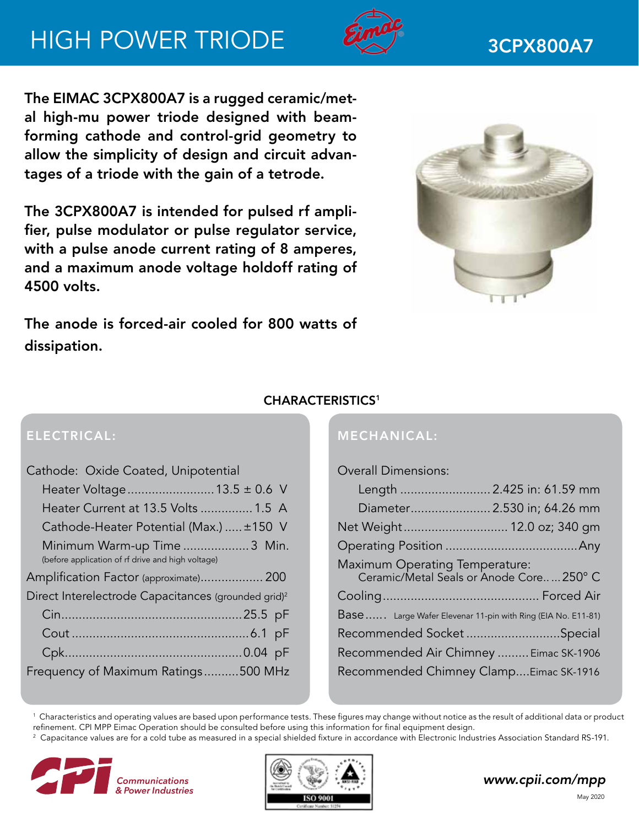# HIGH POWER TRIODE 2000 3CPX800A7



The EIMAC 3CPX800A7 is a rugged ceramic/metal high-mu power triode designed with beamforming cathode and control-grid geometry to allow the simplicity of design and circuit advantages of a triode with the gain of a tetrode.

The 3CPX800A7 is intended for pulsed rf amplifier, pulse modulator or pulse regulator service, with a pulse anode current rating of 8 amperes, and a maximum anode voltage holdoff rating of 4500 volts.



The anode is forced-air cooled for 800 watts of dissipation.

# CHARACTERISTICS1

# ELECTRICAL:

| Cathode: Oxide Coated, Unipotential                                              |
|----------------------------------------------------------------------------------|
| Heater Voltage 13.5 ± 0.6 V                                                      |
| Heater Current at 13.5 Volts  1.5 A                                              |
| Cathode-Heater Potential (Max.)  ±150 V                                          |
| Minimum Warm-up Time 3 Min.<br>(before application of rf drive and high voltage) |
| Amplification Factor (approximate) 200                                           |
| Direct Interelectrode Capacitances (grounded grid) <sup>2</sup>                  |
|                                                                                  |
|                                                                                  |
|                                                                                  |
| Frequency of Maximum Ratings500 MHz                                              |

# MECHANICAL:

## Overall Dimensions:

| Length  2.425 in: 61.59 mm                                                |  |
|---------------------------------------------------------------------------|--|
| Diameter 2.530 in; 64.26 mm                                               |  |
| Net Weight 12.0 oz; 340 gm                                                |  |
|                                                                           |  |
| Maximum Operating Temperature:<br>Ceramic/Metal Seals or Anode Core250° C |  |
|                                                                           |  |
| Base  Large Wafer Elevenar 11-pin with Ring (EIA No. E11-81)              |  |
| Recommended Socket Special                                                |  |
| Recommended Air Chimney  Eimac SK-1906                                    |  |
| Recommended Chimney ClampEimac SK-1916                                    |  |

 $^{\rm 1}$  Characteristics and operating values are based upon performance tests. These figures may change without notice as the result of additional data or product refinement. CPI MPP Eimac Operation should be consulted before using this information for final equipment design.

 $^{\rm 2}$  Capacitance values are for a cold tube as measured in a special shielded fixture in accordance with Electronic Industries Association Standard RS-191.





# *www.cpii.com/mpp*

May 2020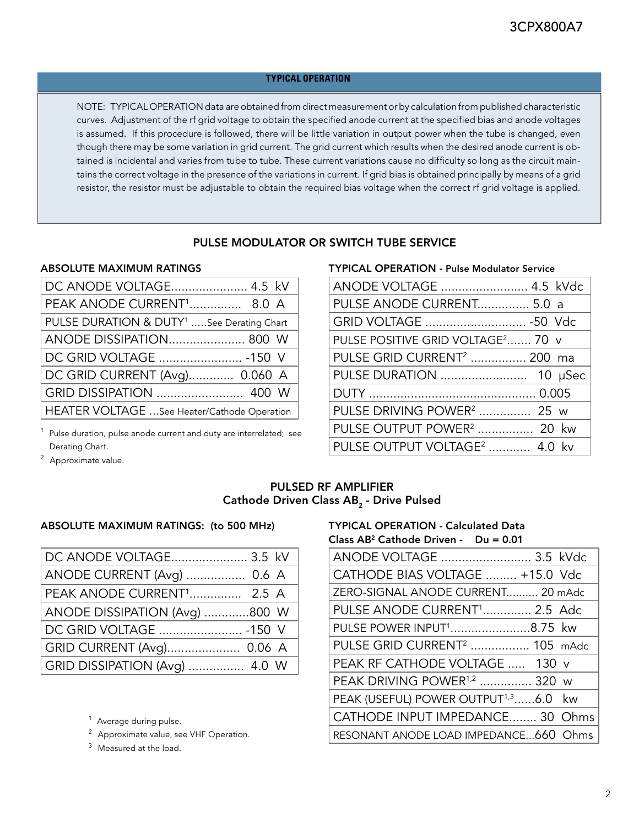#### **TYPICAL OPERATION**

NOTE: TYPICAL OPERATION data are obtained from direct measurement or by calculation from published characteristic curves. Adjustment of the rf grid voltage to obtain the specified anode current at the specified bias and anode voltages is assumed. If this procedure is followed, there will be little variation in output power when the tube is changed, even though there may be some variation in grid current. The grid current which results when the desired anode current is obtained is incidental and varies from tube to tube. These current variations cause no difficulty so long as the circuit maintains the correct voltage in the presence of the variations in current. If grid bias is obtained principally by means of a grid resistor, the resistor must be adjustable to obtain the required bias voltage when the correct rf grid voltage is applied.

#### PULSE MODULATOR OR SWITCH TUBE SERVICE

#### ABSOLUTE MAXIMUM RATINGS

| DC ANODE VOLTAGE 4.5 kV                               |
|-------------------------------------------------------|
| PEAK ANODE CURRENT <sup>1</sup> 8.0 A                 |
| PULSE DURATION & DUTY <sup>1</sup> See Derating Chart |
| ANODE DISSIPATION 800 W                               |
| DC GRID VOLTAGE  -150 V                               |
| DC GRID CURRENT (Avg) 0.060 A                         |
| GRID DISSIPATION  400 W                               |
| HEATER VOLTAGE  See Heater/Cathode Operation          |

 $1$  Pulse duration, pulse anode current and duty are interrelated; see Derating Chart.

<sup>2</sup> Approximate value.

#### TYPICAL OPERATION - Pulse Modulator Service

| ANODE VOLTAGE  4.5 kVdc                       |
|-----------------------------------------------|
| PULSE ANODE CURRENT 5.0 a                     |
| GRID VOLTAGE  -50 Vdc                         |
| PULSE POSITIVE GRID VOLTAGE <sup>2</sup> 70 v |
| PULSE GRID CURRENT <sup>2</sup> 200 ma        |
|                                               |
|                                               |
| PULSE DRIVING POWER <sup>2</sup> 25 w         |
| PULSE OUTPUT POWER <sup>2</sup> 20 kw         |
| PULSE OUTPUT VOLTAGE <sup>2</sup> 4.0 kv      |

### PULSED RF AMPLIFIER Cathode Driven Class AB<sub>2</sub> - Drive Pulsed

#### ABSOLUTE MAXIMUM RATINGS: (to 500 MHz)

| DC ANODE VOLTAGE 3.5 kV               |
|---------------------------------------|
| ANODE CURRENT (Avg)  0.6 A            |
| PEAK ANODE CURRENT <sup>1</sup> 2.5 A |
| ANODE DISSIPATION (Avg) 800 W         |
| DC GRID VOLTAGE  -150 V               |
| GRID CURRENT (Avg) 0.06 A             |
| GRID DISSIPATION (Avg)  4.0 W         |
|                                       |

<sup>1</sup> Average during pulse.

<sup>2</sup> Approximate value, see VHF Operation.

 $3$  Measured at the load.

#### TYPICAL OPERATION - Calculated Data Class AB2 Cathode Driven - Du = 0.01

| ANODE VOLTAGE  3.5 kVdc                          |
|--------------------------------------------------|
| CATHODE BIAS VOLTAGE  +15.0 Vdc                  |
| ZERO-SIGNAL ANODE CURRENT 20 mAdc                |
| PULSE ANODE CURRENT <sup>1</sup> 2.5 Adc         |
| PULSE POWER INPUT <sup>1</sup> 8.75 kw           |
| PULSE GRID CURRENT <sup>2</sup> 105 mAdc         |
| PEAK RF CATHODE VOLTAGE  130 v                   |
| PEAK DRIVING POWER <sup>1,2</sup> 320 w          |
| PEAK (USEFUL) POWER OUTPUT <sup>1,3</sup> 6.0 kw |
| CATHODE INPUT IMPEDANCE 30 Ohms                  |
| RESONANT ANODE LOAD IMPEDANCE660 Ohms            |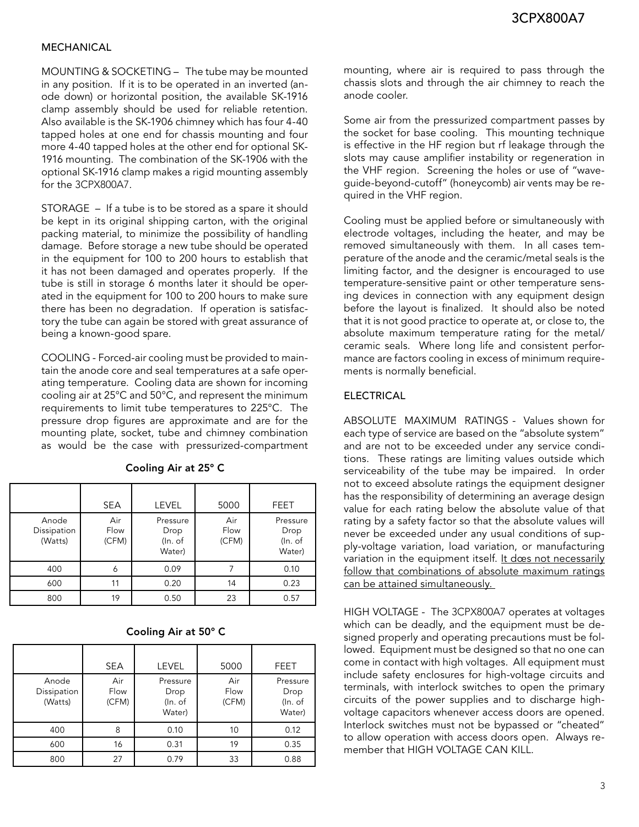#### MECHANICAL

MOUNTING & SOCKETING – The tube may be mounted in any position. If it is to be operated in an inverted (anode down) or horizontal position, the available SK-1916 clamp assembly should be used for reliable retention. Also available is the SK-1906 chimney which has four 4-40 tapped holes at one end for chassis mounting and four more 4-40 tapped holes at the other end for optional SK-1916 mounting. The combination of the SK-1906 with the optional SK-1916 clamp makes a rigid mounting assembly for the 3CPX800A7.

STORAGE – If a tube is to be stored as a spare it should be kept in its original shipping carton, with the original packing material, to minimize the possibility of handling damage. Before storage a new tube should be operated in the equipment for 100 to 200 hours to establish that it has not been damaged and operates properly. If the tube is still in storage 6 months later it should be operated in the equipment for 100 to 200 hours to make sure there has been no degradation. If operation is satisfactory the tube can again be stored with great assurance of being a known-good spare.

COOLING - Forced-air cooling must be provided to maintain the anode core and seal temperatures at a safe operating temperature. Cooling data are shown for incoming cooling air at 25°C and 50°C, and represent the minimum requirements to limit tube temperatures to 225°C. The pressure drop figures are approximate and are for the mounting plate, socket, tube and chimney combination as would be the case with pressurized-compartment

|                                 | <b>SEA</b>           | <b>LEVEL</b>                          | 5000                 | FEET                                  |
|---------------------------------|----------------------|---------------------------------------|----------------------|---------------------------------------|
| Anode<br>Dissipation<br>(Watts) | Air<br>Flow<br>(CFM) | Pressure<br>Drop<br>(In. of<br>Water) | Air<br>Flow<br>(CFM) | Pressure<br>Drop<br>(In. of<br>Water) |
| 400                             | 6                    | 0.09                                  | 7                    | 0.10                                  |
| 600                             | 11                   | 0.20                                  | 14                   | 0.23                                  |
| 800                             | 19                   | 0.50                                  | 23                   | 0.57                                  |

Cooling Air at 25° C

#### Cooling Air at 50° C

|                                 | <b>SEA</b>           | <b>LEVEL</b>                          | 5000                 | <b>FEET</b>                           |
|---------------------------------|----------------------|---------------------------------------|----------------------|---------------------------------------|
| Anode<br>Dissipation<br>(Watts) | Air<br>Flow<br>(CFM) | Pressure<br>Drop<br>(In. of<br>Water) | Air<br>Flow<br>(CFM) | Pressure<br>Drop<br>(In. of<br>Water) |
| 400                             | 8                    | 0.10                                  | 10                   | 0.12                                  |
| 600                             | 16                   | 0.31                                  | 19                   | 0.35                                  |
| 800                             | 27                   | 0.79                                  | 33                   | 0.88                                  |

mounting, where air is required to pass through the chassis slots and through the air chimney to reach the anode cooler.

Some air from the pressurized compartment passes by the socket for base cooling. This mounting technique is effective in the HF region but rf leakage through the slots may cause amplifier instability or regeneration in the VHF region. Screening the holes or use of "waveguide-beyond-cutoff" (honeycomb) air vents may be required in the VHF region.

Cooling must be applied before or simultaneously with electrode voltages, including the heater, and may be removed simultaneously with them. In all cases temperature of the anode and the ceramic/metal seals is the limiting factor, and the designer is encouraged to use temperature-sensitive paint or other temperature sensing devices in connection with any equipment design before the layout is finalized. It should also be noted that it is not good practice to operate at, or close to, the absolute maximum temperature rating for the metal/ ceramic seals. Where long life and consistent performance are factors cooling in excess of minimum requirements is normally beneficial.

#### ELECTRICAL

ABSOLUTE MAXIMUM RATINGS - Values shown for each type of service are based on the "absolute system" and are not to be exceeded under any service conditions. These ratings are limiting values outside which serviceability of the tube may be impaired. In order not to exceed absolute ratings the equipment designer has the responsibility of determining an average design value for each rating below the absolute value of that rating by a safety factor so that the absolute values will never be exceeded under any usual conditions of supply-voltage variation, load variation, or manufacturing variation in the equipment itself. It does not necessarily follow that combinations of absolute maximum ratings can be attained simultaneously.

HIGH VOLTAGE - The 3CPX800A7 operates at voltages which can be deadly, and the equipment must be designed properly and operating precautions must be followed. Equipment must be designed so that no one can come in contact with high voltages. All equipment must include safety enclosures for high-voltage circuits and terminals, with interlock switches to open the primary circuits of the power supplies and to discharge highvoltage capacitors whenever access doors are opened. Interlock switches must not be bypassed or "cheated" to allow operation with access doors open. Always remember that HIGH VOLTAGE CAN KILL.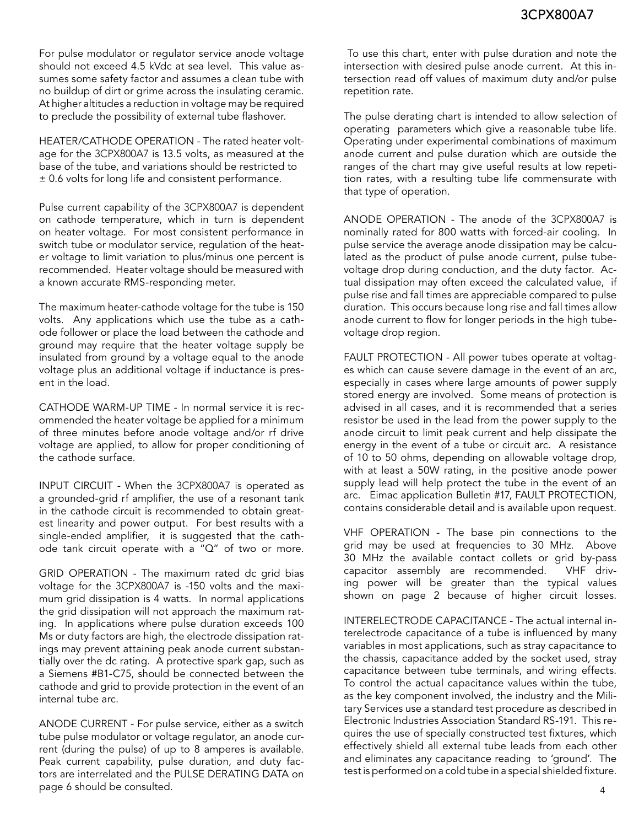For pulse modulator or regulator service anode voltage should not exceed 4.5 kVdc at sea level. This value assumes some safety factor and assumes a clean tube with no buildup of dirt or grime across the insulating ceramic. At higher altitudes a reduction in voltage may be required to preclude the possibility of external tube flashover.

HEATER/CATHODE OPERATION - The rated heater voltage for the 3CPX800A7 is 13.5 volts, as measured at the base of the tube, and variations should be restricted to ± 0.6 volts for long life and consistent performance.

Pulse current capability of the 3CPX800A7 is dependent on cathode temperature, which in turn is dependent on heater voltage. For most consistent performance in switch tube or modulator service, regulation of the heater voltage to limit variation to plus/minus one percent is recommended. Heater voltage should be measured with a known accurate RMS-responding meter.

The maximum heater-cathode voltage for the tube is 150 volts. Any applications which use the tube as a cathode follower or place the load between the cathode and ground may require that the heater voltage supply be insulated from ground by a voltage equal to the anode voltage plus an additional voltage if inductance is present in the load.

CATHODE WARM-UP TIME - In normal service it is recommended the heater voltage be applied for a minimum of three minutes before anode voltage and/or rf drive voltage are applied, to allow for proper conditioning of the cathode surface.

INPUT CIRCUIT - When the 3CPX800A7 is operated as a grounded-grid rf amplifier, the use of a resonant tank in the cathode circuit is recommended to obtain greatest linearity and power output. For best results with a single-ended amplifier, it is suggested that the cathode tank circuit operate with a "Q" of two or more.

GRID OPERATION - The maximum rated dc grid bias voltage for the 3CPX800A7 is -150 volts and the maximum grid dissipation is 4 watts. In normal applications the grid dissipation will not approach the maximum rating. In applications where pulse duration exceeds 100 Ms or duty factors are high, the electrode dissipation ratings may prevent attaining peak anode current substantially over the dc rating. A protective spark gap, such as a Siemens #B1-C75, should be connected between the cathode and grid to provide protection in the event of an internal tube arc.

ANODE CURRENT - For pulse service, either as a switch tube pulse modulator or voltage regulator, an anode current (during the pulse) of up to 8 amperes is available. Peak current capability, pulse duration, and duty factors are interrelated and the PULSE DERATING DATA on page 6 should be consulted.

 To use this chart, enter with pulse duration and note the intersection with desired pulse anode current. At this intersection read off values of maximum duty and/or pulse repetition rate.

The pulse derating chart is intended to allow selection of operating parameters which give a reasonable tube life. Operating under experimental combinations of maximum anode current and pulse duration which are outside the ranges of the chart may give useful results at low repetition rates, with a resulting tube life commensurate with that type of operation.

ANODE OPERATION - The anode of the 3CPX800A7 is nominally rated for 800 watts with forced-air cooling. In pulse service the average anode dissipation may be calculated as the product of pulse anode current, pulse tubevoltage drop during conduction, and the duty factor. Actual dissipation may often exceed the calculated value, if pulse rise and fall times are appreciable compared to pulse duration. This occurs because long rise and fall times allow anode current to flow for longer periods in the high tubevoltage drop region.

FAULT PROTECTION - All power tubes operate at voltages which can cause severe damage in the event of an arc, especially in cases where large amounts of power supply stored energy are involved. Some means of protection is advised in all cases, and it is recommended that a series resistor be used in the lead from the power supply to the anode circuit to limit peak current and help dissipate the energy in the event of a tube or circuit arc. A resistance of 10 to 50 ohms, depending on allowable voltage drop, with at least a 50W rating, in the positive anode power supply lead will help protect the tube in the event of an arc. Eimac application Bulletin #17, FAULT PROTECTION, contains considerable detail and is available upon request.

VHF OPERATION - The base pin connections to the grid may be used at frequencies to 30 MHz. Above 30 MHz the available contact collets or grid by-pass capacitor assembly are recommended. VHF driving power will be greater than the typical values shown on page 2 because of higher circuit losses.

INTERELECTRODE CAPACITANCE - The actual internal interelectrode capacitance of a tube is influenced by many variables in most applications, such as stray capacitance to the chassis, capacitance added by the socket used, stray capacitance between tube terminals, and wiring effects. To control the actual capacitance values within the tube, as the key component involved, the industry and the Military Services use a standard test procedure as described in Electronic Industries Association Standard RS-191. This requires the use of specially constructed test fixtures, which effectively shield all external tube leads from each other and eliminates any capacitance reading to 'ground'. The test is performed on a cold tube in a special shielded fixture.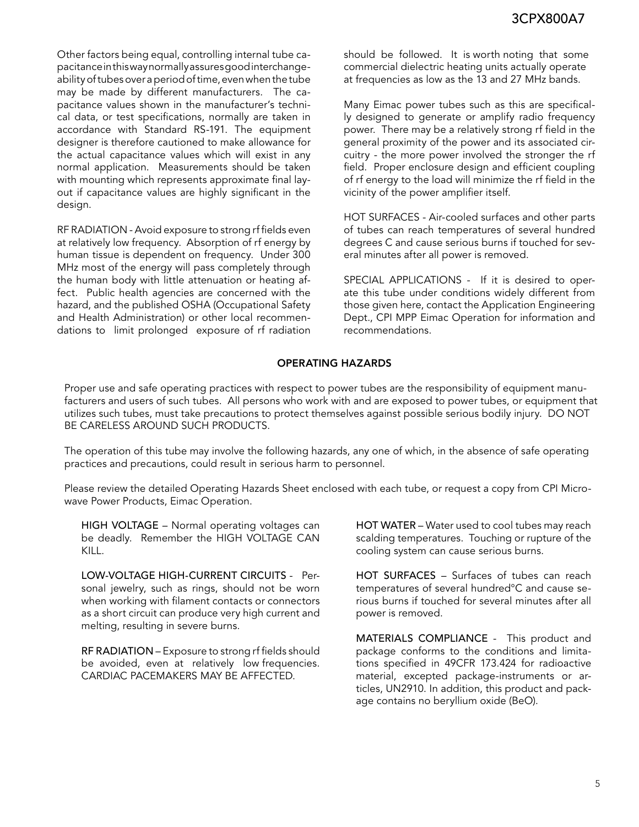Other factors being equal, controlling internal tube capacitance in this way normally assures good interchangeability of tubes over a period of time, even when the tube may be made by different manufacturers. The capacitance values shown in the manufacturer's technical data, or test specifications, normally are taken in accordance with Standard RS-191. The equipment designer is therefore cautioned to make allowance for the actual capacitance values which will exist in any normal application. Measurements should be taken with mounting which represents approximate final layout if capacitance values are highly significant in the design.

RF RADIATION - Avoid exposure to strong rf fields even at relatively low frequency. Absorption of rf energy by human tissue is dependent on frequency. Under 300 MHz most of the energy will pass completely through the human body with little attenuation or heating affect. Public health agencies are concerned with the hazard, and the published OSHA (Occupational Safety and Health Administration) or other local recommendations to limit prolonged exposure of rf radiation

should be followed. It is worth noting that some commercial dielectric heating units actually operate at frequencies as low as the 13 and 27 MHz bands.

Many Eimac power tubes such as this are specifically designed to generate or amplify radio frequency power. There may be a relatively strong rf field in the general proximity of the power and its associated circuitry - the more power involved the stronger the rf field. Proper enclosure design and efficient coupling of rf energy to the load will minimize the rf field in the vicinity of the power amplifier itself.

HOT SURFACES - Air-cooled surfaces and other parts of tubes can reach temperatures of several hundred degrees C and cause serious burns if touched for several minutes after all power is removed.

SPECIAL APPLICATIONS - If it is desired to operate this tube under conditions widely different from those given here, contact the Application Engineering Dept., CPI MPP Eimac Operation for information and recommendations.

### OPERATING HAZARDS

Proper use and safe operating practices with respect to power tubes are the responsibility of equipment manufacturers and users of such tubes. All persons who work with and are exposed to power tubes, or equipment that utilizes such tubes, must take precautions to protect themselves against possible serious bodily injury. DO NOT BE CARELESS AROUND SUCH PRODUCTS.

The operation of this tube may involve the following hazards, any one of which, in the absence of safe operating practices and precautions, could result in serious harm to personnel.

Please review the detailed Operating Hazards Sheet enclosed with each tube, or request a copy from CPI Microwave Power Products, Eimac Operation.

HIGH VOLTAGE – Normal operating voltages can be deadly. Remember the HIGH VOLTAGE CAN KILL.

LOW-VOLTAGE HIGH-CURRENT CIRCUITS - Personal jewelry, such as rings, should not be worn when working with filament contacts or connectors as a short circuit can produce very high current and melting, resulting in severe burns.

RF RADIATION – Exposure to strong rf fields should be avoided, even at relatively low frequencies. CARDIAC PACEMAKERS MAY BE AFFECTED.

HOT WATER – Water used to cool tubes may reach scalding temperatures. Touching or rupture of the cooling system can cause serious burns.

HOT SURFACES – Surfaces of tubes can reach temperatures of several hundred°C and cause serious burns if touched for several minutes after all power is removed.

MATERIALS COMPLIANCE - This product and package conforms to the conditions and limitations specified in 49CFR 173.424 for radioactive material, excepted package-instruments or articles, UN2910. In addition, this product and package contains no beryllium oxide (BeO).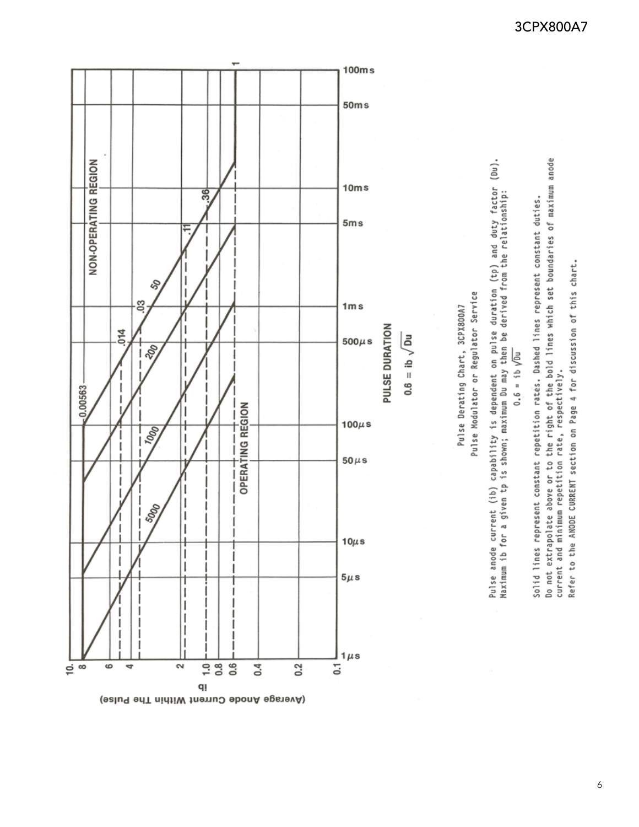

Solid lines represent constant repetition rates. Dashed lines represent constant duties.

Do not extrapolate above or to the right of the bold lines which set boundaries of maximum anode<br>current and minimum repetition rate, respectively. Refer to the ANODE CURRENT section on Page 4 for discussion of this chart.

 $\boldsymbol{6}$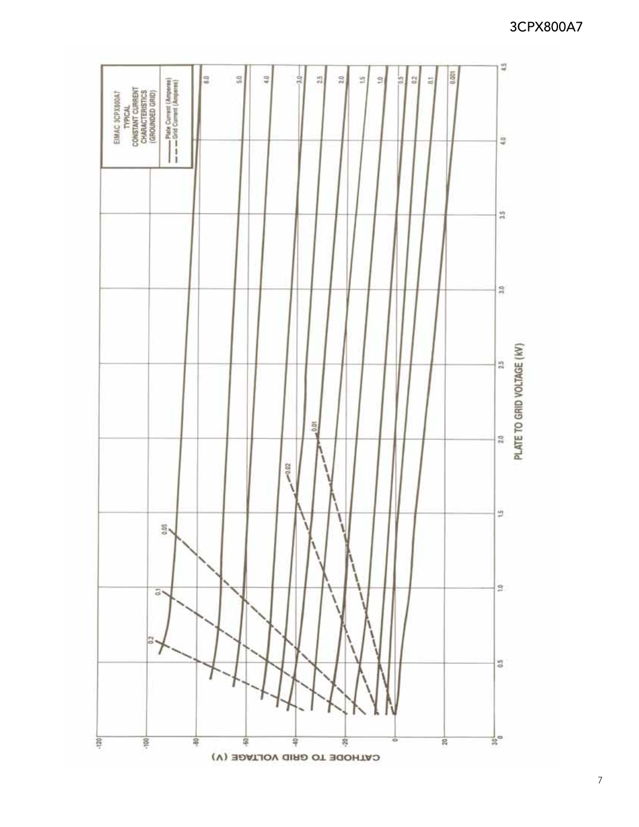

# 3CPX800A7